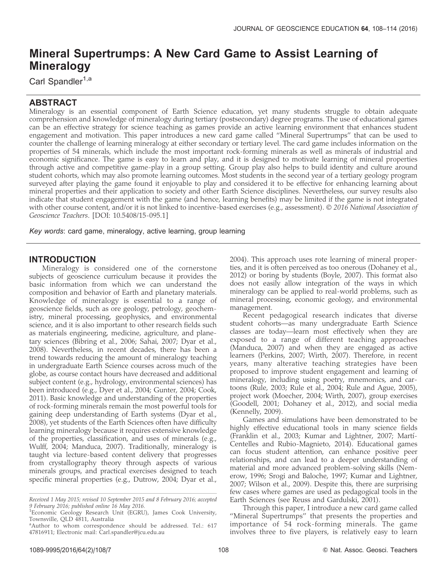# Mineral Supertrumps: A New Card Game to Assist Learning of Mineralogy

Carl Spandler<sup>1,a</sup>

# ABSTRACT

Mineralogy is an essential component of Earth Science education, yet many students struggle to obtain adequate comprehension and knowledge of mineralogy during tertiary (postsecondary) degree programs. The use of educational games can be an effective strategy for science teaching as games provide an active learning environment that enhances student engagement and motivation. This paper introduces a new card game called ''Mineral Supertrumps'' that can be used to counter the challenge of learning mineralogy at either secondary or tertiary level. The card game includes information on the properties of 54 minerals, which include the most important rock-forming minerals as well as minerals of industrial and economic significance. The game is easy to learn and play, and it is designed to motivate learning of mineral properties through active and competitive game-play in a group setting. Group play also helps to build identity and culture around student cohorts, which may also promote learning outcomes. Most students in the second year of a tertiary geology program surveyed after playing the game found it enjoyable to play and considered it to be effective for enhancing learning about mineral properties and their application to society and other Earth Science disciplines. Nevertheless, our survey results also indicate that student engagement with the game (and hence, learning benefits) may be limited if the game is not integrated with other course content, and/or it is not linked to incentive-based exercises (e.g., assessment). © 2016 National Association of Geoscience Teachers. [DOI: 10.5408/15-095.1]

Key words: card game, mineralogy, active learning, group learning

# INTRODUCTION

Mineralogy is considered one of the cornerstone subjects of geoscience curriculum because it provides the basic information from which we can understand the composition and behavior of Earth and planetary materials. Knowledge of mineralogy is essential to a range of geoscience fields, such as ore geology, petrology, geochemistry, mineral processing, geophysics, and environmental science, and it is also important to other research fields such as materials engineering, medicine, agriculture, and planetary sciences (Bibring et al., 2006; Sahai, 2007; Dyar et al., 2008). Nevertheless, in recent decades, there has been a trend towards reducing the amount of mineralogy teaching in undergraduate Earth Science courses across much of the globe, as course contact hours have decreased and additional subject content (e.g., hydrology, environmental sciences) has been introduced (e.g., Dyer et al., 2004; Gunter, 2004; Cook, 2011). Basic knowledge and understanding of the properties of rock-forming minerals remain the most powerful tools for gaining deep understanding of Earth systems (Dyar et al., 2008), yet students of the Earth Sciences often have difficulty learning mineralogy because it requires extensive knowledge of the properties, classification, and uses of minerals (e.g., Wulff, 2004; Manduca, 2007). Traditionally, mineralogy is taught via lecture-based content delivery that progresses from crystallography theory through aspects of various minerals groups, and practical exercises designed to teach specific mineral properties (e.g., Dutrow, 2004; Dyar et al.,

2004). This approach uses rote learning of mineral properties, and it is often perceived as too onerous (Dohaney et al., 2012) or boring by students (Boyle, 2007). This format also does not easily allow integration of the ways in which mineralogy can be applied to real-world problems, such as mineral processing, economic geology, and environmental management.

Recent pedagogical research indicates that diverse student cohorts—as many undergraduate Earth Science classes are today—learn most effectively when they are exposed to a range of different teaching approaches (Manduca, 2007) and when they are engaged as active learners (Perkins, 2007; Wirth, 2007). Therefore, in recent years, many alterative teaching strategies have been proposed to improve student engagement and learning of mineralogy, including using poetry, mnemonics, and cartoons (Rule, 2003; Rule et al., 2004; Rule and Ague, 2005), project work (Moecher, 2004; Wirth, 2007), group exercises (Goodell, 2001; Dohaney et al., 2012), and social media (Kennelly, 2009).

Games and simulations have been demonstrated to be highly effective educational tools in many science fields (Franklin et al., 2003; Kumar and Lightner, 2007; Martí-Centelles and Rubio-Magnieto, 2014). Educational games can focus student attention, can enhance positive peer relationships, and can lead to a deeper understanding of material and more advanced problem-solving skills (Nemerow, 1996; Srogi and Baloche, 1997; Kumar and Lightner, 2007; Wilson et al., 2009). Despite this, there are surprising few cases where games are used as pedagogical tools in the Earth Sciences (see Reuss and Gardulski, 2001).

Through this paper, I introduce a new card game called ''Mineral Supertrumps'' that presents the properties and importance of 54 rock-forming minerals. The game involves three to five players, is relatively easy to learn

Received 1 May 2015; revised 10 September 2015 and 8 February 2016; accepted 9 February 2016; published online 16 May 2016.

<sup>&</sup>lt;sup>1</sup>Economic Geology Research Unit (EGRU), James Cook University, Townsville, QLD 4811, Australia

<sup>&</sup>lt;sup>a</sup>Author to whom correspondence should be addressed. Tel.: 617 47816911; Electronic mail: Carl.spandler@jcu.edu.au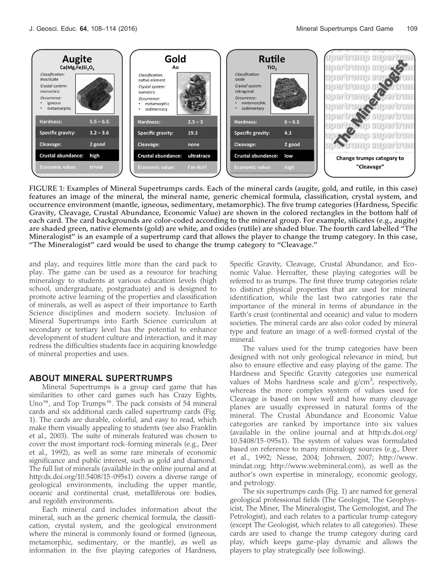

FIGURE 1: Examples of Mineral Supertrumps cards. Each of the mineral cards (augite, gold, and rutile, in this case) features an image of the mineral, the mineral name, generic chemical formula, classification, crystal system, and occurrence environment (mantle, igneous, sedimentary, metamorphic). The five trump categories (Hardness, Specific Gravity, Cleavage, Crustal Abundance, Economic Value) are shown in the colored rectangles in the bottom half of each card. The card backgrounds are color-coded according to the mineral group. For example, silicates (e.g., augite) are shaded green, native elements (gold) are white, and oxides (rutile) are shaded blue. The fourth card labelled ''The Mineralogist'' is an example of a supertrump card that allows the player to change the trump category. In this case, ''The Mineralogist'' card would be used to change the trump category to ''Cleavage.''

and play, and requires little more than the card pack to play. The game can be used as a resource for teaching mineralogy to students at various education levels (high school, undergraduate, postgraduate) and is designed to promote active learning of the properties and classification of minerals, as well as aspect of their importance to Earth Science disciplines and modern society. Inclusion of Mineral Supertrumps into Earth Science curriculum at secondary or tertiary level has the potential to enhance development of student culture and interaction, and it may redress the difficulties students face in acquiring knowledge of mineral properties and uses.

## ABOUT MINERAL SUPERTRUMPS

Mineral Supertrumps is a group card game that has similarities to other card games such has Crazy Eights, Uno<sup> $m$ </sup>, and Top Trumps<sup> $m$ </sup>. The pack consists of 54 mineral cards and six additional cards called supertrump cards (Fig. 1). The cards are durable, colorful, and easy to read, which make them visually appealing to students (see also Franklin et al., 2003). The suite of minerals featured was chosen to cover the most important rock-forming minerals (e.g., Deer et al., 1992), as well as some rare minerals of economic significance and public interest, such as gold and diamond. The full list of minerals (available in the online journal and at http:dx.doi.org/10.5408/15-095s1) covers a diverse range of geological environments, including the upper mantle, oceanic and continental crust, metalliferous ore bodies, and regolith environments.

Each mineral card includes information about the mineral, such as the generic chemical formula, the classification, crystal system, and the geological environment where the mineral is commonly found or formed (igneous, metamorphic, sedimentary, or the mantle), as well as information in the five playing categories of Hardness,

Specific Gravity, Cleavage, Crustal Abundance, and Economic Value. Hereafter, these playing categories will be referred to as trumps. The first three trump categories relate to distinct physical properties that are used for mineral identification, while the last two categories rate the importance of the mineral in terms of abundance in the Earth's crust (continental and oceanic) and value to modern societies. The mineral cards are also color coded by mineral type and feature an image of a well-formed crystal of the mineral.

The values used for the trump categories have been designed with not only geological relevance in mind, but also to ensure effective and easy playing of the game. The Hardness and Specific Gravity categories use numerical values of Mohs hardness scale and  $g/cm^3$ , respectively, whereas the more complex system of values used for Cleavage is based on how well and how many cleavage planes are usually expressed in natural forms of the mineral. The Crustal Abundance and Economic Value categories are ranked by importance into six values (available in the online journal and at http:dx.doi.org/ 10.5408/15-095s1). The system of values was formulated based on reference to many mineralogy sources (e.g., Deer et al., 1992; Nesse, 2004; Johnsen, 2007; http://www. mindat.org; http://www.webmineral.com), as well as the author's own expertise in mineralogy, economic geology, and petrology.

The six supertrumps cards (Fig. 1) are named for general geological professional fields (The Geologist, The Geophysicist, The Miner, The Mineralogist, The Gemologist, and The Petrologist), and each relates to a particular trump category (except The Geologist, which relates to all categories). These cards are used to change the trump category during card play, which keeps game-play dynamic and allows the players to play strategically (see following).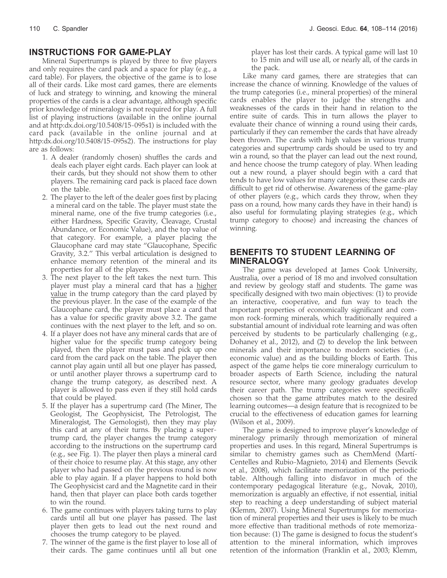# INSTRUCTIONS FOR GAME-PLAY

Mineral Supertrumps is played by three to five players and only requires the card pack and a space for play (e.g., a card table). For players, the objective of the game is to lose all of their cards. Like most card games, there are elements of luck and strategy to winning, and knowing the mineral properties of the cards is a clear advantage, although specific prior knowledge of mineralogy is not required for play. A full list of playing instructions (available in the online journal and at http:dx.doi.org/10.5408/15-095s1) is included with the card pack (available in the online journal and at http:dx.doi.org/10.5408/15-095s2). The instructions for play are as follows:

- 1. A dealer (randomly chosen) shuffles the cards and deals each player eight cards. Each player can look at their cards, but they should not show them to other players. The remaining card pack is placed face down on the table.
- 2. The player to the left of the dealer goes first by placing a mineral card on the table. The player must state the mineral name, one of the five trump categories (i.e., either Hardness, Specific Gravity, Cleavage, Crustal Abundance, or Economic Value), and the top value of that category. For example, a player placing the Glaucophane card may state ''Glaucophane, Specific Gravity, 3.2.'' This verbal articulation is designed to enhance memory retention of the mineral and its properties for all of the players.
- 3. The next player to the left takes the next turn. This player must play a mineral card that has a higher value in the trump category than the card played by the previous player. In the case of the example of the Glaucophane card, the player must place a card that has a value for specific gravity above 3.2. The game continues with the next player to the left, and so on.
- 4. If a player does not have any mineral cards that are of higher value for the specific trump category being played, then the player must pass and pick up one card from the card pack on the table. The player then cannot play again until all but one player has passed, or until another player throws a supertrump card to change the trump category, as described next. A player is allowed to pass even if they still hold cards that could be played.
- 5. If the player has a supertrump card (The Miner, The Geologist, The Geophysicist, The Petrologist, The Mineralogist, The Gemologist), then they may play this card at any of their turns. By placing a supertrump card, the player changes the trump category according to the instructions on the supertrump card (e.g., see Fig. 1). The player then plays a mineral card of their choice to resume play. At this stage, any other player who had passed on the previous round is now able to play again. If a player happens to hold both The Geophysicist card and the Magnetite card in their hand, then that player can place both cards together to win the round.
- 6. The game continues with players taking turns to play cards until all but one player has passed. The last player then gets to lead out the next round and chooses the trump category to be played.
- 7. The winner of the game is the first player to lose all of their cards. The game continues until all but one

player has lost their cards. A typical game will last 10 to 15 min and will use all, or nearly all, of the cards in the pack.

Like many card games, there are strategies that can increase the chance of winning. Knowledge of the values of the trump categories (i.e., mineral properties) of the mineral cards enables the player to judge the strengths and weaknesses of the cards in their hand in relation to the entire suite of cards. This in turn allows the player to evaluate their chance of winning a round using their cards, particularly if they can remember the cards that have already been thrown. The cards with high values in various trump categories and supertrump cards should be used to try and win a round, so that the player can lead out the next round, and hence choose the trump category of play. When leading out a new round, a player should begin with a card that tends to have low values for many categories; these cards are difficult to get rid of otherwise. Awareness of the game-play of other players (e.g., which cards they throw, when they pass on a round, how many cards they have in their hand) is also useful for formulating playing strategies (e.g., which trump category to choose) and increasing the chances of winning.

## BENEFITS TO STUDENT LEARNING OF MINERALOGY

The game was developed at James Cook University, Australia, over a period of 18 mo and involved consultation and review by geology staff and students. The game was specifically designed with two main objectives: (1) to provide an interactive, cooperative, and fun way to teach the important properties of economically significant and common rock-forming minerals, which traditionally required a substantial amount of individual rote learning and was often perceived by students to be particularly challenging (e.g., Dohaney et al., 2012), and (2) to develop the link between minerals and their importance to modern societies (i.e., economic value) and as the building blocks of Earth. This aspect of the game helps tie core mineralogy curriculum to broader aspects of Earth Science, including the natural resource sector, where many geology graduates develop their career path. The trump categories were specifically chosen so that the game attributes match to the desired learning outcomes—a design feature that is recognized to be crucial to the effectiveness of education games for learning (Wilson et al., 2009).

The game is designed to improve player's knowledge of mineralogy primarily through memorization of mineral properties and uses. In this regard, Mineral Supertrumps is similar to chemistry games such as ChemMend (Martí-Centelles and Rubio-Magnieto, 2014) and Elements (Sevcik et al., 2008), which facilitate memorization of the periodic table. Although falling into disfavor in much of the contemporary pedagogical literature (e.g., Novak, 2010), memorization is arguably an effective, if not essential, initial step to reaching a deep understanding of subject material (Klemm, 2007). Using Mineral Supertrumps for memorization of mineral properties and their uses is likely to be much more effective than traditional methods of rote memorization because: (1) The game is designed to focus the student's attention to the mineral information, which improves retention of the information (Franklin et al., 2003; Klemm,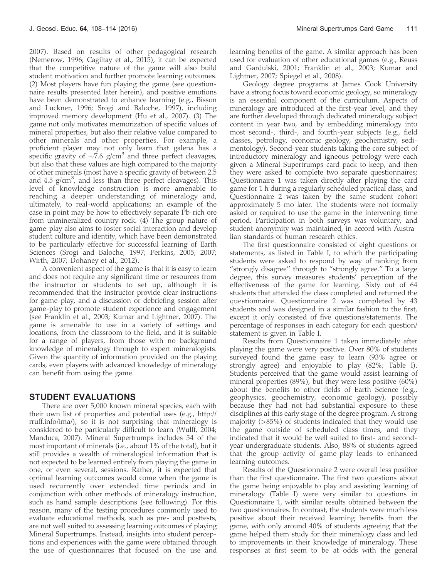2007). Based on results of other pedagogical research (Nemerow, 1996; Cagiltay et al., 2015), it can be expected that the competitive nature of the game will also build student motivation and further promote learning outcomes. (2) Most players have fun playing the game (see questionnaire results presented later herein), and positive emotions have been demonstrated to enhance learning (e.g., Bisson and Luckner, 1996; Srogi and Baloche, 1997), including improved memory development (Hu et al., 2007). (3) The game not only motivates memorization of specific values of mineral properties, but also their relative value compared to other minerals and other properties. For example, a proficient player may not only learn that galena has a specific gravity of  $\sim$ 7.6 g/cm<sup>3</sup> and three perfect cleavages, but also that these values are high compared to the majority of other minerals (most have a specific gravity of between 2.5 and 4.5 g/cm<sup>3</sup>, and less than three perfect cleavages). This level of knowledge construction is more amenable to reaching a deeper understanding of mineralogy and, ultimately, to real-world applications; an example of the case in point may be how to effectively separate Pb-rich ore from unmineralized country rock. (4) The group nature of game-play also aims to foster social interaction and develop student culture and identity, which have been demonstrated to be particularly effective for successful learning of Earth Sciences (Srogi and Baloche, 1997; Perkins, 2005, 2007; Wirth, 2007; Dohaney et al., 2012).

A convenient aspect of the game is that it is easy to learn and does not require any significant time or resources from the instructor or students to set up, although it is recommended that the instructor provide clear instructions for game-play, and a discussion or debriefing session after game-play to promote student experience and engagement (see Franklin et al., 2003; Kumar and Lightner, 2007). The game is amenable to use in a variety of settings and locations, from the classroom to the field, and it is suitable for a range of players, from those with no background knowledge of mineralogy through to expert mineralogists. Given the quantity of information provided on the playing cards, even players with advanced knowledge of mineralogy can benefit from using the game.

## STUDENT EVALUATIONS

There are over 5,000 known mineral species, each with their own list of properties and potential uses (e.g., http:// rruff.info/ima/), so it is not surprising that mineralogy is considered to be particularly difficult to learn (Wulff, 2004; Manduca, 2007). Mineral Supertrumps includes 54 of the most important of minerals (i.e., about 1% of the total), but it still provides a wealth of mineralogical information that is not expected to be learned entirely from playing the game in one, or even several, sessions. Rather, it is expected that optimal learning outcomes would come when the game is used recurrently over extended time periods and in conjunction with other methods of mineralogy instruction, such as hand sample descriptions (see following). For this reason, many of the testing procedures commonly used to evaluate educational methods, such as pre- and posttests, are not well suited to assessing learning outcomes of playing Mineral Supertrumps. Instead, insights into student perceptions and experiences with the game were obtained through the use of questionnaires that focused on the use and

learning benefits of the game. A similar approach has been used for evaluation of other educational games (e.g., Reuss and Gardulski, 2001; Franklin et al., 2003; Kumar and Lightner, 2007; Spiegel et al., 2008).

Geology degree programs at James Cook University have a strong focus toward economic geology, so mineralogy is an essential component of the curriculum. Aspects of mineralogy are introduced at the first-year level, and they are further developed through dedicated mineralogy subject content in year two, and by embedding mineralogy into most second-, third-, and fourth-year subjects (e.g., field classes, petrology, economic geology, geochemistry, sedimentology). Second-year students taking the core subject of introductory mineralogy and igneous petrology were each given a Mineral Supertrumps card pack to keep, and then they were asked to complete two separate questionnaires; Questionnaire 1 was taken directly after playing the card game for 1 h during a regularly scheduled practical class, and Questionnaire 2 was taken by the same student cohort approximately 5 mo later. The students were not formally asked or required to use the game in the intervening time period. Participation in both surveys was voluntary, and student anonymity was maintained, in accord with Australian standards of human research ethics.

The first questionnaire consisted of eight questions or statements, as listed in Table I, to which the participating students were asked to respond by way of ranking from ''strongly disagree'' through to ''strongly agree.'' To a large degree, this survey measures students' perception of the effectiveness of the game for learning. Sixty out of 64 students that attended the class completed and returned the questionnaire. Questionnaire 2 was completed by 43 students and was designed in a similar fashion to the first, except it only consisted of five questions/statements. The percentage of responses in each category for each question/ statement is given in Table I.

Results from Questionnaire 1 taken immediately after playing the game were very positive. Over 80% of students surveyed found the game easy to learn (93% agree or strongly agree) and enjoyable to play (82%; Table I). Students perceived that the game would assist learning of mineral properties (89%), but they were less positive (60%) about the benefits to other fields of Earth Science (e.g., geophysics, geochemistry, economic geology), possibly because they had not had substantial exposure to these disciplines at this early stage of the degree program. A strong majority (>85%) of students indicated that they would use the game outside of scheduled class times, and they indicated that it would be well suited to first- and secondyear undergraduate students. Also, 88% of students agreed that the group activity of game-play leads to enhanced learning outcomes.

Results of the Questionnaire 2 were overall less positive than the first questionnaire. The first two questions about the game being enjoyable to play and assisting learning of mineralogy (Table I) were very similar to questions in Questionnaire 1, with similar results obtained between the two questionnaires. In contrast, the students were much less positive about their received learning benefits from the game, with only around 40% of students agreeing that the game helped them study for their mineralogy class and led to improvements in their knowledge of mineralogy. These responses at first seem to be at odds with the general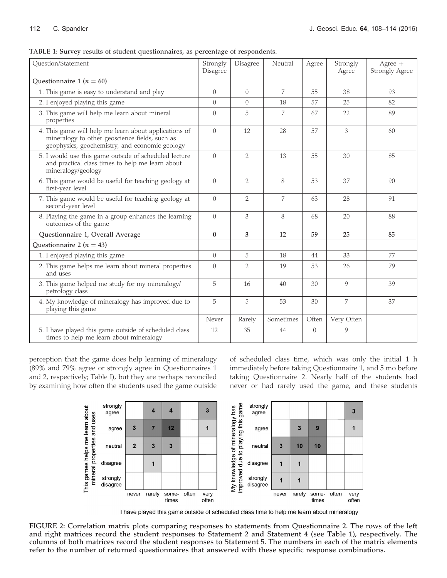| TABLE 1: Survey results of student questionnaires, as percentage of respondents. |  |  |  |  |  |
|----------------------------------------------------------------------------------|--|--|--|--|--|
|----------------------------------------------------------------------------------|--|--|--|--|--|

| Ouestion/Statement                                                                                                                                        | Strongly<br>Disagree | Disagree       | Neutral        | Agree | Strongly<br>Agree | $Agree +$<br><b>Strongly Agree</b> |
|-----------------------------------------------------------------------------------------------------------------------------------------------------------|----------------------|----------------|----------------|-------|-------------------|------------------------------------|
| Questionnaire 1 ( $n = 60$ )                                                                                                                              |                      |                |                |       |                   |                                    |
| 1. This game is easy to understand and play                                                                                                               | $\bigcirc$           | $\Omega$       | $\overline{7}$ | 55    | 38                | 93                                 |
| 2. I enjoyed playing this game                                                                                                                            | $\Omega$             | $\overline{0}$ | 18             | 57    | 25                | 82                                 |
| 3. This game will help me learn about mineral<br>properties                                                                                               | $\Omega$             | 5              | $\overline{7}$ | 67    | 22                | 89                                 |
| 4. This game will help me learn about applications of<br>mineralogy to other geoscience fields, such as<br>geophysics, geochemistry, and economic geology | $\Omega$             | 12             | 28             | 57    | 3                 | 60                                 |
| 5. I would use this game outside of scheduled lecture<br>and practical class times to help me learn about<br>mineralogy/geology                           | $\Omega$             | $\overline{2}$ | 13             | 55    | 30                | 85                                 |
| 6. This game would be useful for teaching geology at<br>first-year level                                                                                  | $\Omega$             | $\overline{2}$ | 8              | 53    | 37                | 90                                 |
| 7. This game would be useful for teaching geology at<br>second-year level                                                                                 | $\Omega$             | $\overline{2}$ | 7              | 63    | 28                | 91                                 |
| 8. Playing the game in a group enhances the learning<br>outcomes of the game                                                                              | $\Omega$             | 3              | 8              | 68    | 20                | 88                                 |
| Questionnaire 1, Overall Average                                                                                                                          | $\theta$             | 3              | 12             | 59    | 25                | 85                                 |
| Questionnaire 2 ( $n = 43$ )                                                                                                                              |                      |                |                |       |                   |                                    |
| 1. I enjoyed playing this game                                                                                                                            | $\bigcirc$           | 5              | 18             | 44    | 33                | 77                                 |
| 2. This game helps me learn about mineral properties<br>and uses                                                                                          | $\Omega$             | $\overline{2}$ | 19             | 53    | 26                | 79                                 |
| 3. This game helped me study for my mineralogy/<br>petrology class                                                                                        | 5                    | 16             | 40             | 30    | 9                 | 39                                 |
| 4. My knowledge of mineralogy has improved due to<br>playing this game                                                                                    | 5                    | 5              | 53             | 30    | 7                 | 37                                 |
|                                                                                                                                                           | Never                | Rarely         | Sometimes      | Often | Very Often        |                                    |
| 5. I have played this game outside of scheduled class<br>times to help me learn about mineralogy                                                          | 12                   | 35             | 44             | 0     | 9                 |                                    |

perception that the game does help learning of mineralogy (89% and 79% agree or strongly agree in Questionnaires 1 and 2, respectively; Table I), but they are perhaps reconciled by examining how often the students used the game outside of scheduled class time, which was only the initial 1 h immediately before taking Questionnaire 1, and 5 mo before taking Questionnaire 2. Nearly half of the students had never or had rarely used the game, and these students



I have played this game outside of scheduled class time to help me learn about mineralogy

FIGURE 2: Correlation matrix plots comparing responses to statements from Questionnaire 2. The rows of the left and right matrices record the student responses to Statement 2 and Statement 4 (see Table 1), respectively. The columns of both matrices record the student responses to Statement 5. The numbers in each of the matrix elements refer to the number of returned questionnaires that answered with these specific response combinations.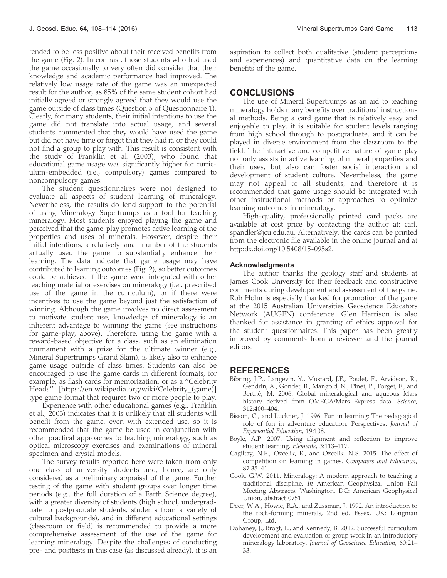tended to be less positive about their received benefits from the game (Fig. 2). In contrast, those students who had used the game occasionally to very often did consider that their knowledge and academic performance had improved. The relatively low usage rate of the game was an unexpected result for the author, as 85% of the same student cohort had initially agreed or strongly agreed that they would use the game outside of class times (Question 5 of Questionnaire 1). Clearly, for many students, their initial intentions to use the game did not translate into actual usage, and several students commented that they would have used the game but did not have time or forgot that they had it, or they could not find a group to play with. This result is consistent with the study of Franklin et al. (2003), who found that educational game usage was significantly higher for curriculum-embedded (i.e., compulsory) games compared to noncompulsory games.

The student questionnaires were not designed to evaluate all aspects of student learning of mineralogy. Nevertheless, the results do lend support to the potential of using Mineralogy Supertrumps as a tool for teaching mineralogy. Most students enjoyed playing the game and perceived that the game-play promotes active learning of the properties and uses of minerals. However, despite their initial intentions, a relatively small number of the students actually used the game to substantially enhance their learning. The data indicate that game usage may have contributed to learning outcomes (Fig. 2), so better outcomes could be achieved if the game were integrated with other teaching material or exercises on mineralogy (i.e., prescribed use of the game in the curriculum), or if there were incentives to use the game beyond just the satisfaction of winning. Although the game involves no direct assessment to motivate student use, knowledge of mineralogy is an inherent advantage to winning the game (see instructions for game-play, above). Therefore, using the game with a reward-based objective for a class, such as an elimination tournament with a prize for the ultimate winner (e.g., Mineral Supertrumps Grand Slam), is likely also to enhance game usage outside of class times. Students can also be encouraged to use the game cards in different formats, for example, as flash cards for memorization, or as a ''Celebrity Heads'' [https://en.wikipedia.org/wiki/Celebrity\_(game)] type game format that requires two or more people to play.

Experience with other educational games (e.g., Franklin et al., 2003) indicates that it is unlikely that all students will benefit from the game, even with extended use, so it is recommended that the game be used in conjunction with other practical approaches to teaching mineralogy, such as optical microscopy exercises and examinations of mineral specimen and crystal models.

The survey results reported here were taken from only one class of university students and, hence, are only considered as a preliminary appraisal of the game. Further testing of the game with student groups over longer time periods (e.g., the full duration of a Earth Science degree), with a greater diversity of students (high school, undergraduate to postgraduate students, students from a variety of cultural backgrounds), and in different educational settings (classroom or field) is recommended to provide a more comprehensive assessment of the use of the game for learning mineralogy. Despite the challenges of conducting pre- and posttests in this case (as discussed already), it is an

aspiration to collect both qualitative (student perceptions and experiences) and quantitative data on the learning benefits of the game.

## **CONCLUSIONS**

The use of Mineral Supertrumps as an aid to teaching mineralogy holds many benefits over traditional instructional methods. Being a card game that is relatively easy and enjoyable to play, it is suitable for student levels ranging from high school through to postgraduate, and it can be played in diverse environment from the classroom to the field. The interactive and competitive nature of game-play not only assists in active learning of mineral properties and their uses, but also can foster social interaction and development of student culture. Nevertheless, the game may not appeal to all students, and therefore it is recommended that game usage should be integrated with other instructional methods or approaches to optimize learning outcomes in mineralogy.

High-quality, professionally printed card packs are available at cost price by contacting the author at: carl. spandler@jcu.edu.au. Alternatively, the cards can be printed from the electronic file available in the online journal and at http:dx.doi.org/10.5408/15-095s2.

#### Acknowledgments

The author thanks the geology staff and students at James Cook University for their feedback and constructive comments during development and assessment of the game. Rob Holm is especially thanked for promotion of the game at the 2015 Australian Universities Geoscience Educators Network (AUGEN) conference. Glen Harrison is also thanked for assistance in granting of ethics approval for the student questionnaires. This paper has been greatly improved by comments from a reviewer and the journal editors.

### REFERENCES

- Bibring, J.P., Langevin, Y., Mustard, J.F., Poulet, F., Arvidson, R., Gendrin, A., Gondet, B., Mangold, N., Pinet, P., Forget, F., and Berthé, M. 2006. Global mineralogical and aqueous Mars history derived from OMEGA/Mars Express data. Science, 312:400–404.
- Bisson, C., and Luckner, J. 1996. Fun in learning: The pedagogical role of fun in adventure education. Perspectives. Journal of Experiential Education, 19:108.
- Boyle, A.P. 2007. Using alignment and reflection to improve student learning. Elements, 3:113–117.
- Cagiltay, N.E., Ozcelik, E., and Ozcelik, N.S. 2015. The effect of competition on learning in games. Computers and Education, 87:35–41.
- Cook, G.W. 2011. Mineralogy: A modern approach to teaching a traditional discipline. In American Geophysical Union Fall Meeting Abstracts. Washington, DC: American Geophysical Union, abstract 0751.
- Deer, W.A., Howie, R.A., and Zussman, J. 1992. An introduction to the rock-forming minerals, 2nd ed. Essex, UK: Longman Group, Ltd.
- Dohaney, J., Brogt, E., and Kennedy, B. 2012. Successful curriculum development and evaluation of group work in an introductory mineralogy laboratory. Journal of Geoscience Education, 60:21– 33.